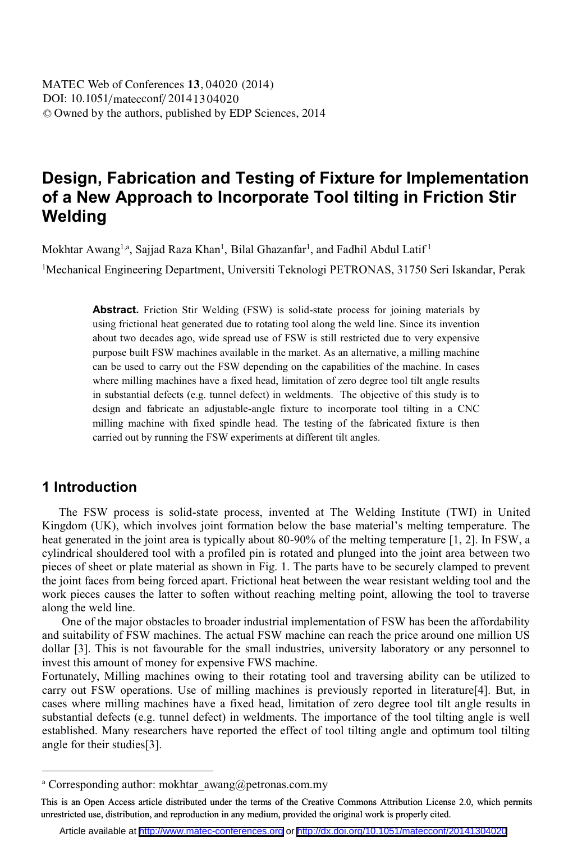DOI: 10.1051/matecconf/20141304020 -<sup>C</sup> Owned by the authors, published by EDP Sciences, 2014 MATEC Web of Conferences **13**, 04020 (2014)

# **Design, Fabrication and Testing of Fixture for Implementation of a New Approach to Incorporate Tool tilting in Friction Stir Welding**

Mokhtar Awang<sup>1,a</sup>, Sajjad Raza Khan<sup>1</sup>, Bilal Ghazanfar<sup>1</sup>, and Fadhil Abdul Latif<sup>1</sup>

<sup>1</sup>Mechanical Engineering Department, Universiti Teknologi PETRONAS, 31750 Seri Iskandar, Perak

**Abstract.** Friction Stir Welding (FSW) is solid-state process for joining materials by using frictional heat generated due to rotating tool along the weld line. Since its invention about two decades ago, wide spread use of FSW is still restricted due to very expensive purpose built FSW machines available in the market. As an alternative, a milling machine can be used to carry out the FSW depending on the capabilities of the machine. In cases where milling machines have a fixed head, limitation of zero degree tool tilt angle results in substantial defects (e.g. tunnel defect) in weldments. The objective of this study is to design and fabricate an adjustable-angle fixture to incorporate tool tilting in a CNC milling machine with fixed spindle head. The testing of the fabricated fixture is then carried out by running the FSW experiments at different tilt angles.

#### **1 Introduction**

 $\overline{a}$ 

The FSW process is solid-state process, invented at The Welding Institute (TWI) in United Kingdom (UK), which involves joint formation below the base material's melting temperature. The heat generated in the joint area is typically about 80-90% of the melting temperature [1, 2]. In FSW, a cylindrical shouldered tool with a profiled pin is rotated and plunged into the joint area between two pieces of sheet or plate material as shown in Fig. 1. The parts have to be securely clamped to prevent the joint faces from being forced apart. Frictional heat between the wear resistant welding tool and the work pieces causes the latter to soften without reaching melting point, allowing the tool to traverse along the weld line.

 One of the major obstacles to broader industrial implementation of FSW has been the affordability and suitability of FSW machines. The actual FSW machine can reach the price around one million US dollar [3]. This is not favourable for the small industries, university laboratory or any personnel to invest this amount of money for expensive FWS machine.

Fortunately, Milling machines owing to their rotating tool and traversing ability can be utilized to carry out FSW operations. Use of milling machines is previously reported in literature[4]. But, in cases where milling machines have a fixed head, limitation of zero degree tool tilt angle results in substantial defects (e.g. tunnel defect) in weldments. The importance of the tool tilting angle is well established. Many researchers have reported the effect of tool tilting angle and optimum tool tilting angle for their studies[3].

a Corresponding author: mokhtar\_awang@petronas.com.my

This is an Open Access article distributed under the terms of the Creative Commons Attribution License 2.0, which permits unrestricted use, distribution, and reproduction in any medium, provided the original work is properly cited.

Article available at <http://www.matec-conferences.org> or <http://dx.doi.org/10.1051/matecconf/20141304020>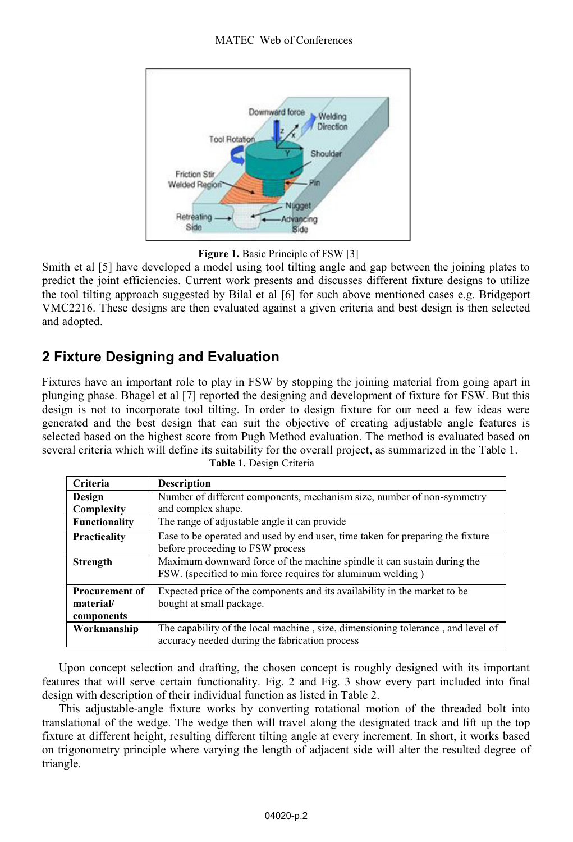



Smith et al [5] have developed a model using tool tilting angle and gap between the joining plates to predict the joint efficiencies. Current work presents and discusses different fixture designs to utilize the tool tilting approach suggested by Bilal et al [6] for such above mentioned cases e.g. Bridgeport VMC2216. These designs are then evaluated against a given criteria and best design is then selected and adopted.

## **2 Fixture Designing and Evaluation**

Fixtures have an important role to play in FSW by stopping the joining material from going apart in plunging phase. Bhagel et al [7] reported the designing and development of fixture for FSW. But this design is not to incorporate tool tilting. In order to design fixture for our need a few ideas were generated and the best design that can suit the objective of creating adjustable angle features is selected based on the highest score from Pugh Method evaluation. The method is evaluated based on several criteria which will define its suitability for the overall project, as summarized in the Table 1.  **Table 1.** Design Criteria

| Criteria              | <b>Description</b>                                                              |  |
|-----------------------|---------------------------------------------------------------------------------|--|
| Design                | Number of different components, mechanism size, number of non-symmetry          |  |
| Complexity            | and complex shape.                                                              |  |
| <b>Functionality</b>  | The range of adjustable angle it can provide                                    |  |
| <b>Practicality</b>   | Ease to be operated and used by end user, time taken for preparing the fixture  |  |
|                       | before proceeding to FSW process                                                |  |
| <b>Strength</b>       | Maximum downward force of the machine spindle it can sustain during the         |  |
|                       | FSW. (specified to min force requires for aluminum welding)                     |  |
| <b>Procurement of</b> | Expected price of the components and its availability in the market to be       |  |
| material/             | bought at small package.                                                        |  |
| components            |                                                                                 |  |
| Workmanship           | The capability of the local machine, size, dimensioning tolerance, and level of |  |
|                       | accuracy needed during the fabrication process                                  |  |

Upon concept selection and drafting, the chosen concept is roughly designed with its important features that will serve certain functionality. Fig. 2 and Fig. 3 show every part included into final design with description of their individual function as listed in Table 2.

This adjustable-angle fixture works by converting rotational motion of the threaded bolt into translational of the wedge. The wedge then will travel along the designated track and lift up the top fixture at different height, resulting different tilting angle at every increment. In short, it works based on trigonometry principle where varying the length of adjacent side will alter the resulted degree of triangle.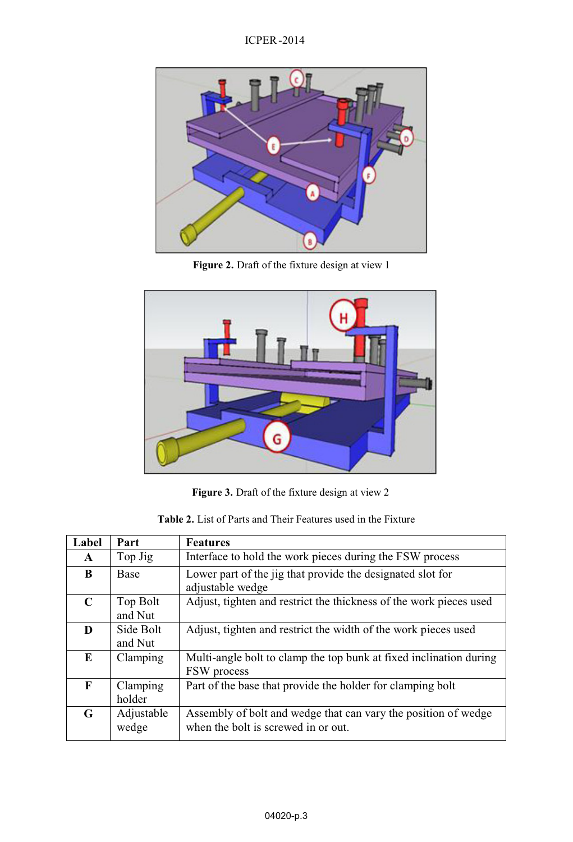ICPER -2014



**Figure 2.** Draft of the fixture design at view 1



**Figure 3.** Draft of the fixture design at view 2

| <b>Table 2.</b> List of Parts and Their Features used in the Fixture |  |
|----------------------------------------------------------------------|--|
|----------------------------------------------------------------------|--|

| Label        | Part                 | <b>Features</b>                                                                                       |
|--------------|----------------------|-------------------------------------------------------------------------------------------------------|
| $\mathbf{A}$ | Top Jig              | Interface to hold the work pieces during the FSW process                                              |
| B            | <b>Base</b>          | Lower part of the jig that provide the designated slot for<br>adjustable wedge                        |
| $\mathbf C$  | Top Bolt<br>and Nut  | Adjust, tighten and restrict the thickness of the work pieces used                                    |
| D            | Side Bolt<br>and Nut | Adjust, tighten and restrict the width of the work pieces used                                        |
| E            | Clamping             | Multi-angle bolt to clamp the top bunk at fixed inclination during<br>FSW process                     |
| F            | Clamping<br>holder   | Part of the base that provide the holder for clamping bolt                                            |
| G            | Adjustable<br>wedge  | Assembly of bolt and wedge that can vary the position of wedge<br>when the bolt is screwed in or out. |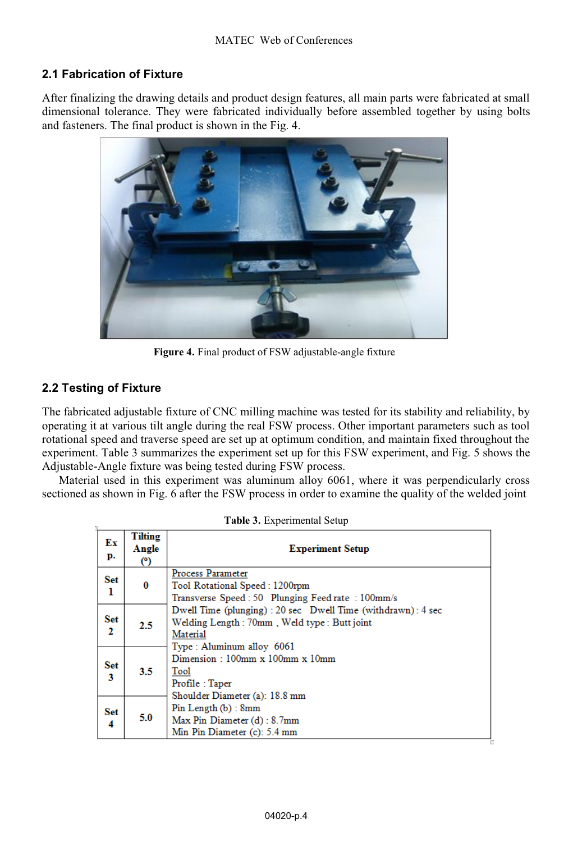#### **2.1 Fabrication of Fixture**

After finalizing the drawing details and product design features, all main parts were fabricated at small dimensional tolerance. They were fabricated individually before assembled together by using bolts and fasteners. The final product is shown in the Fig. 4.



**Figure 4.** Final product of FSW adjustable-angle fixture

#### **2.2 Testing of Fixture**

The fabricated adjustable fixture of CNC milling machine was tested for its stability and reliability, by operating it at various tilt angle during the real FSW process. Other important parameters such as tool rotational speed and traverse speed are set up at optimum condition, and maintain fixed throughout the experiment. Table 3 summarizes the experiment set up for this FSW experiment, and Fig. 5 shows the Adjustable-Angle fixture was being tested during FSW process.

Material used in this experiment was aluminum alloy 6061, where it was perpendicularly cross sectioned as shown in Fig. 6 after the FSW process in order to examine the quality of the welded joint

| Ex<br>p. | <b>Tilting</b><br>Angle<br>(°) | <b>Experiment Setup</b>                                                                                                              |  |
|----------|--------------------------------|--------------------------------------------------------------------------------------------------------------------------------------|--|
| Set<br>ı | $\bf{0}$                       | Process Parameter<br>Tool Rotational Speed: 1200rpm<br>Transverse Speed : 50 Plunging Feed rate : 100mm/s                            |  |
| Set<br>2 | 2.5                            | Dwell Time (plunging) : 20 sec Dwell Time (withdrawn) : 4 sec<br>Welding Length: 70mm, Weld type: Butt joint<br>Material             |  |
| Set<br>3 | 3.5                            | Type: Aluminum alloy 6061<br>Dimension: $100mm \times 100mm \times 10mm$<br>Tool<br>Profile: Taper<br>Shoulder Diameter (a): 18.8 mm |  |
| Set<br>4 | 5.0                            | $Pin$ Length $(b)$ : 8mm<br>Max Pin Diameter (d): 8.7mm<br>Min Pin Diameter (c): 5.4 mm                                              |  |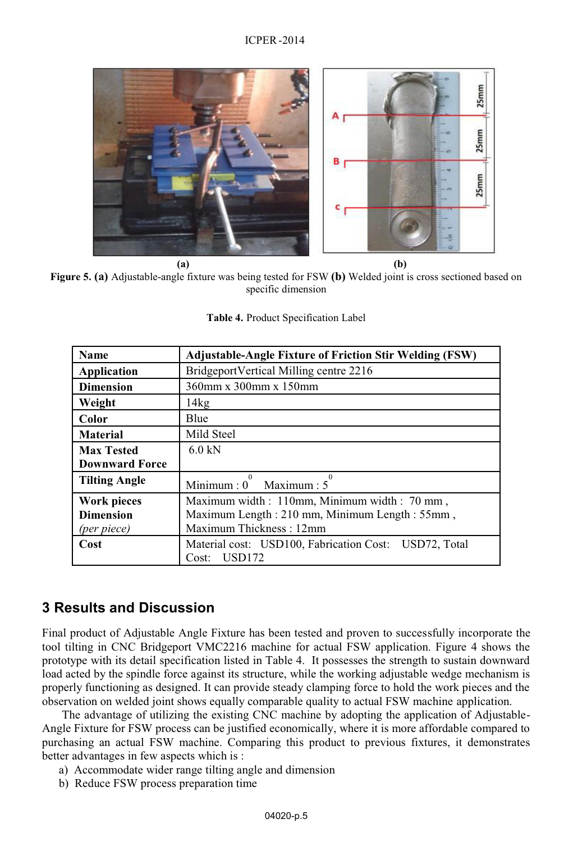

**Figure 5. (a)** Adjustable-angle fixture was being tested for FSW **(b)** Welded joint is cross sectioned based on specific dimension

| Table 4. Product Specification Label |  |  |
|--------------------------------------|--|--|
|                                      |  |  |

| Name                  | <b>Adjustable-Angle Fixture of Friction Stir Welding (FSW)</b> |
|-----------------------|----------------------------------------------------------------|
| Application           | BridgeportVertical Milling centre 2216                         |
| <b>Dimension</b>      | 360mm x 300mm x 150mm                                          |
| Weight                | 14kg                                                           |
| Color                 | Blue                                                           |
| <b>Material</b>       | Mild Steel                                                     |
| <b>Max Tested</b>     | $6.0$ kN                                                       |
| <b>Downward Force</b> |                                                                |
| <b>Tilting Angle</b>  | $\Omega$<br>Minimum: 0 Maximum: 5                              |
| Work pieces           | Maximum width: 110mm, Minimum width: 70 mm,                    |
| <b>Dimension</b>      | Maximum Length: 210 mm, Minimum Length: 55mm,                  |
| (per piece)           | Maximum Thickness: 12mm                                        |
| Cost                  | Material cost: USD100, Fabrication Cost: USD72, Total          |
|                       | <b>USD172</b><br>Cost:                                         |

#### **3 Results and Discussion**

Final product of Adjustable Angle Fixture has been tested and proven to successfully incorporate the tool tilting in CNC Bridgeport VMC2216 machine for actual FSW application. Figure 4 shows the prototype with its detail specification listed in Table 4. It possesses the strength to sustain downward load acted by the spindle force against its structure, while the working adjustable wedge mechanism is properly functioning as designed. It can provide steady clamping force to hold the work pieces and the observation on welded joint shows equally comparable quality to actual FSW machine application.

The advantage of utilizing the existing CNC machine by adopting the application of Adjustable-Angle Fixture for FSW process can be justified economically, where it is more affordable compared to purchasing an actual FSW machine. Comparing this product to previous fixtures, it demonstrates better advantages in few aspects which is :

- a) Accommodate wider range tilting angle and dimension
- b) Reduce FSW process preparation time